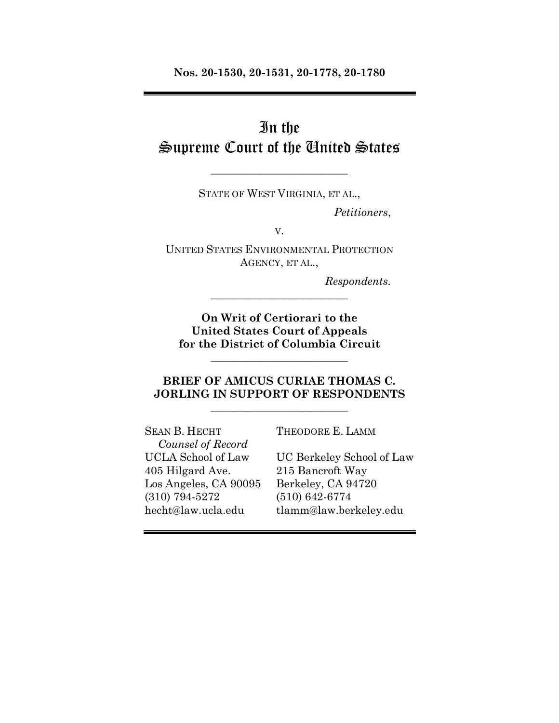**Nos. 20-1530, 20-1531, 20-1778, 20-1780**

# In the Supreme Court of the United States

STATE OF WEST VIRGINIA, ET AL.,

\_\_\_\_\_\_\_\_\_\_\_\_\_\_\_\_\_\_\_\_\_\_\_\_\_

*Petitioners*,

V.

UNITED STATES ENVIRONMENTAL PROTECTION AGENCY, ET AL.,

\_\_\_\_\_\_\_\_\_\_\_\_\_\_\_\_\_\_\_\_\_\_\_\_\_

*Respondents.*

**On Writ of Certiorari to the United States Court of Appeals for the District of Columbia Circuit**

\_\_\_\_\_\_\_\_\_\_\_\_\_\_\_\_\_\_\_\_\_\_\_\_\_

### **BRIEF OF AMICUS CURIAE THOMAS C. JORLING IN SUPPORT OF RESPONDENTS**

\_\_\_\_\_\_\_\_\_\_\_\_\_\_\_\_\_\_\_\_\_\_\_\_\_

SEAN B. HECHT THEODORE E. LAMM *Counsel of Record* 405 Hilgard Ave. 215 Bancroft Way Los Angeles, CA 90095 Berkeley, CA 94720 (310) 794-5272 (510) 642-6774

UCLA School of Law UC Berkeley School of Law hecht@law.ucla.edu tlamm@law.berkeley.edu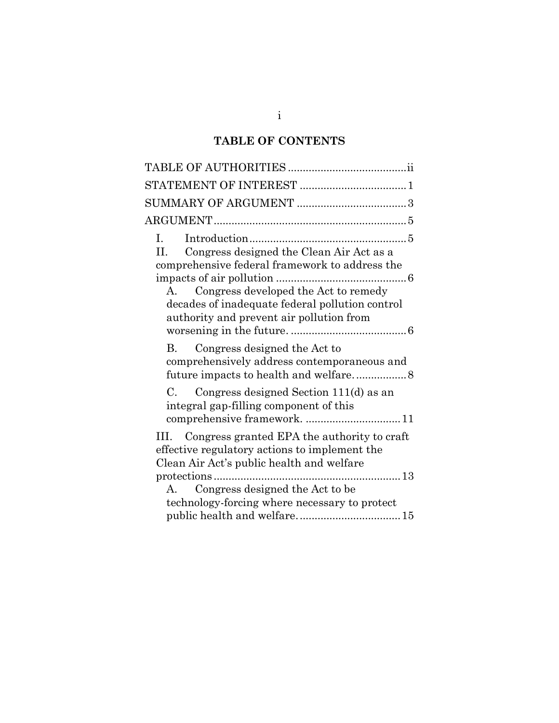# **TABLE OF CONTENTS**

| $I_{\rm{max}}$<br>Congress designed the Clean Air Act as a<br>H.<br>comprehensive federal framework to address the<br>Congress developed the Act to remedy<br>$\mathbf{A}$<br>decades of inadequate federal pollution control<br>authority and prevent air pollution from |
|---------------------------------------------------------------------------------------------------------------------------------------------------------------------------------------------------------------------------------------------------------------------------|
| Congress designed the Act to<br>B.<br>comprehensively address contemporaneous and                                                                                                                                                                                         |
| Congress designed Section 111(d) as an<br>С.<br>integral gap-filling component of this<br>comprehensive framework.  11                                                                                                                                                    |
| III. Congress granted EPA the authority to craft<br>effective regulatory actions to implement the<br>Clean Air Act's public health and welfare                                                                                                                            |
|                                                                                                                                                                                                                                                                           |
| Congress designed the Act to be<br>$A_{\cdot}$                                                                                                                                                                                                                            |
| technology-forcing where necessary to protect                                                                                                                                                                                                                             |
|                                                                                                                                                                                                                                                                           |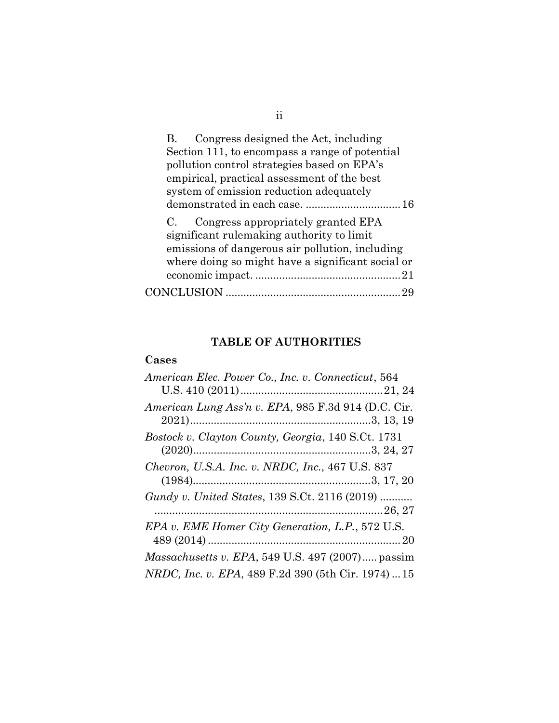| Congress designed the Act, including<br>В.        |
|---------------------------------------------------|
| Section 111, to encompass a range of potential    |
| pollution control strategies based on EPA's       |
| empirical, practical assessment of the best       |
| system of emission reduction adequately           |
|                                                   |
| Congress appropriately granted EPA<br>$C_{\rm g}$ |
| significant rulemaking authority to limit         |
| emissions of dangerous air pollution, including   |
| where doing so might have a significant social or |
|                                                   |
| CONCLUSION .                                      |
|                                                   |

# **TABLE OF AUTHORITIES**

## <span id="page-2-0"></span>**Cases**

| American Elec. Power Co., Inc. v. Connecticut, 564         |
|------------------------------------------------------------|
|                                                            |
| American Lung Ass'n v. EPA, 985 F.3d 914 (D.C. Cir.        |
|                                                            |
| Bostock v. Clayton County, Georgia, 140 S.Ct. 1731         |
|                                                            |
| Chevron, U.S.A. Inc. v. NRDC, Inc., 467 U.S. 837           |
|                                                            |
| Gundy v. United States, 139 S.Ct. 2116 (2019)              |
|                                                            |
| EPA v. EME Homer City Generation, L.P., 572 U.S.           |
|                                                            |
| <i>Massachusetts v. EPA</i> , 549 U.S. 497 $(2007)$ passim |
| NRDC, Inc. v. EPA, 489 F.2d 390 (5th Cir. 1974)  15        |

ii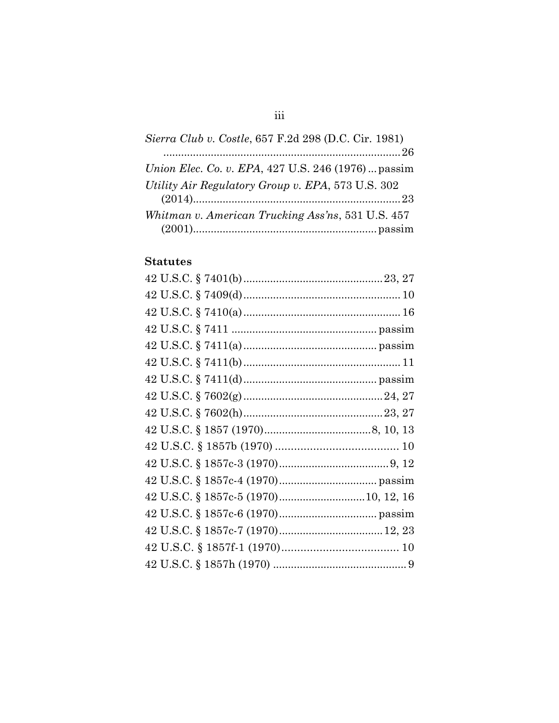| Sierra Club v. Costle, 657 F.2d 298 (D.C. Cir. 1981)       |
|------------------------------------------------------------|
|                                                            |
| <i>Union Elec. Co. v. EPA, 427 U.S. 246 (1976)  passim</i> |
| Utility Air Regulatory Group v. EPA, 573 U.S. 302          |
|                                                            |
| Whitman v. American Trucking Ass'ns, 531 U.S. 457          |
|                                                            |

### **Statutes**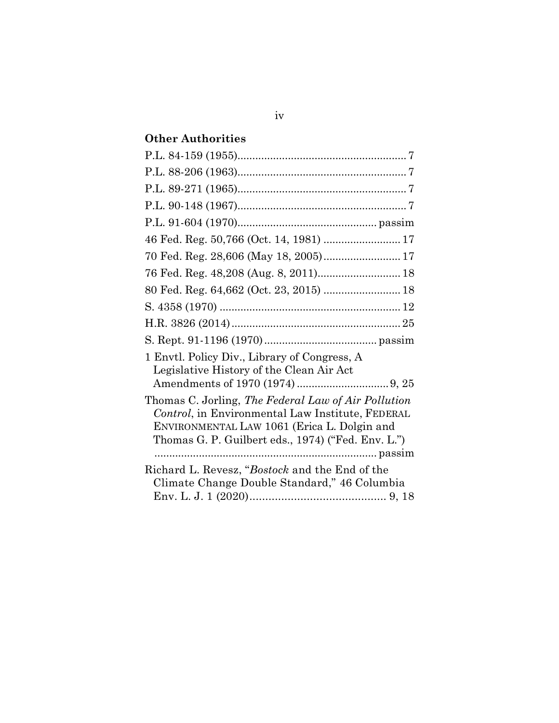# **Other Authorities**

| 46 Fed. Reg. 50,766 (Oct. 14, 1981)  17                                                                                                                                                                      |
|--------------------------------------------------------------------------------------------------------------------------------------------------------------------------------------------------------------|
| 70 Fed. Reg. 28,606 (May 18, 2005) 17                                                                                                                                                                        |
| 76 Fed. Reg. 48,208 (Aug. 8, 2011) 18                                                                                                                                                                        |
| 80 Fed. Reg. 64,662 (Oct. 23, 2015)  18                                                                                                                                                                      |
|                                                                                                                                                                                                              |
|                                                                                                                                                                                                              |
|                                                                                                                                                                                                              |
| 1 Envtl. Policy Div., Library of Congress, A<br>Legislative History of the Clean Air Act                                                                                                                     |
|                                                                                                                                                                                                              |
| Thomas C. Jorling, The Federal Law of Air Pollution<br>Control, in Environmental Law Institute, FEDERAL<br>ENVIRONMENTAL LAW 1061 (Erica L. Dolgin and<br>Thomas G. P. Guilbert eds., 1974) ("Fed. Env. L.") |
| Richard L. Revesz, "Bostock and the End of the<br>Climate Change Double Standard," 46 Columbia                                                                                                               |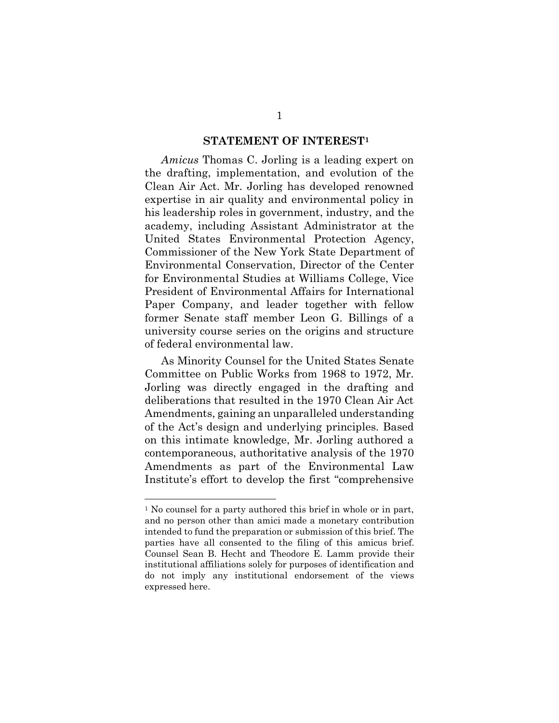#### **STATEMENT OF INTEREST<sup>1</sup>**

<span id="page-5-0"></span>*Amicus* Thomas C. Jorling is a leading expert on the drafting, implementation, and evolution of the Clean Air Act. Mr. Jorling has developed renowned expertise in air quality and environmental policy in his leadership roles in government, industry, and the academy, including Assistant Administrator at the United States Environmental Protection Agency, Commissioner of the New York State Department of Environmental Conservation, Director of the Center for Environmental Studies at Williams College, Vice President of Environmental Affairs for International Paper Company, and leader together with fellow former Senate staff member Leon G. Billings of a university course series on the origins and structure of federal environmental law.

As Minority Counsel for the United States Senate Committee on Public Works from 1968 to 1972, Mr. Jorling was directly engaged in the drafting and deliberations that resulted in the 1970 Clean Air Act Amendments, gaining an unparalleled understanding of the Act's design and underlying principles. Based on this intimate knowledge, Mr. Jorling authored a contemporaneous, authoritative analysis of the 1970 Amendments as part of the Environmental Law Institute's effort to develop the first "comprehensive

<sup>&</sup>lt;sup>1</sup> No counsel for a party authored this brief in whole or in part, and no person other than amici made a monetary contribution intended to fund the preparation or submission of this brief. The parties have all consented to the filing of this amicus brief. Counsel Sean B. Hecht and Theodore E. Lamm provide their institutional affiliations solely for purposes of identification and do not imply any institutional endorsement of the views expressed here.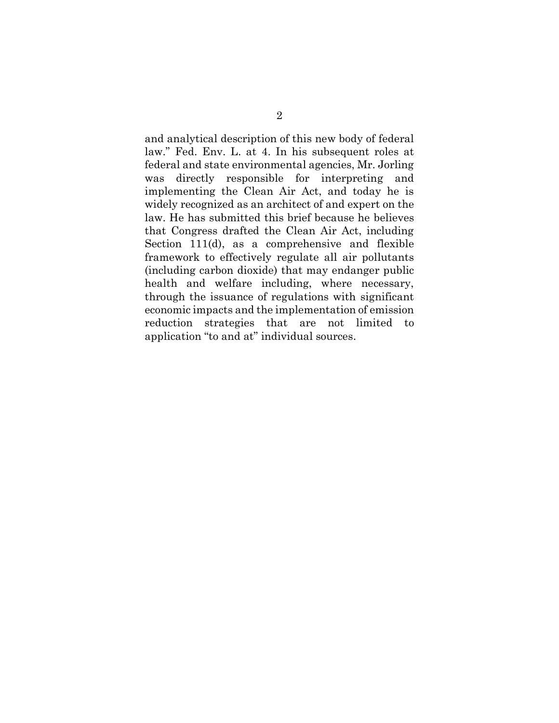and analytical description of this new body of federal law." Fed. Env. L. at 4. In his subsequent roles at federal and state environmental agencies, Mr. Jorling was directly responsible for interpreting and implementing the Clean Air Act, and today he is widely recognized as an architect of and expert on the law. He has submitted this brief because he believes that Congress drafted the Clean Air Act, including Section 111(d), as a comprehensive and flexible framework to effectively regulate all air pollutants (including carbon dioxide) that may endanger public health and welfare including, where necessary, through the issuance of regulations with significant economic impacts and the implementation of emission reduction strategies that are not limited to application "to and at" individual sources.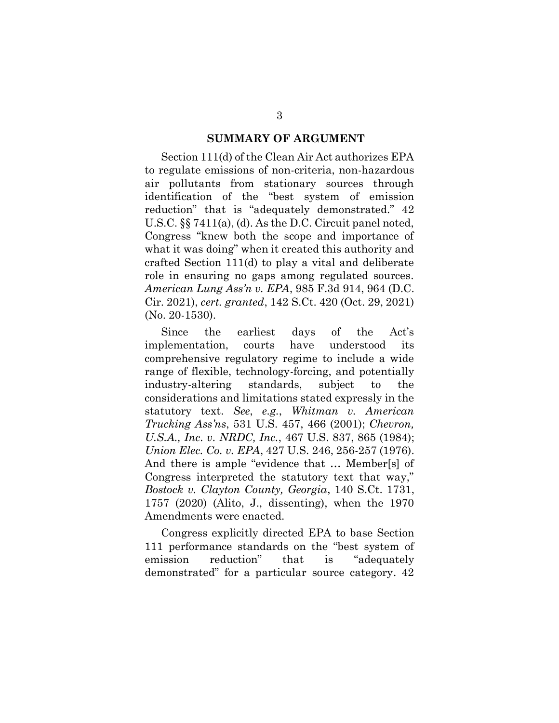#### **SUMMARY OF ARGUMENT**

<span id="page-7-0"></span>Section 111(d) of the Clean Air Act authorizes EPA to regulate emissions of non-criteria, non-hazardous air pollutants from stationary sources through identification of the "best system of emission reduction" that is "adequately demonstrated." 42 U.S.C. §§ 7411(a), (d). As the D.C. Circuit panel noted, Congress "knew both the scope and importance of what it was doing" when it created this authority and crafted Section 111(d) to play a vital and deliberate role in ensuring no gaps among regulated sources. *American Lung Ass'n v. EPA*, 985 F.3d 914, 964 (D.C. Cir. 2021), *cert. granted*, 142 S.Ct. 420 (Oct. 29, 2021) (No. 20-1530).

Since the earliest days of the Act's implementation, courts have understood its comprehensive regulatory regime to include a wide range of flexible, technology-forcing, and potentially industry-altering standards, subject to the considerations and limitations stated expressly in the statutory text. *See*, *e.g.*, *Whitman v. American Trucking Ass'ns*, 531 U.S. 457, 466 (2001); *Chevron, U.S.A., Inc. v. NRDC, Inc.*, 467 U.S. 837, 865 (1984); *Union Elec. Co. v. EPA*, 427 U.S. 246, 256-257 (1976). And there is ample "evidence that … Member[s] of Congress interpreted the statutory text that way," *Bostock v. Clayton County, Georgia*, 140 S.Ct. 1731, 1757 (2020) (Alito, J., dissenting), when the 1970 Amendments were enacted.

Congress explicitly directed EPA to base Section 111 performance standards on the "best system of emission reduction" that is "adequately demonstrated" for a particular source category. 42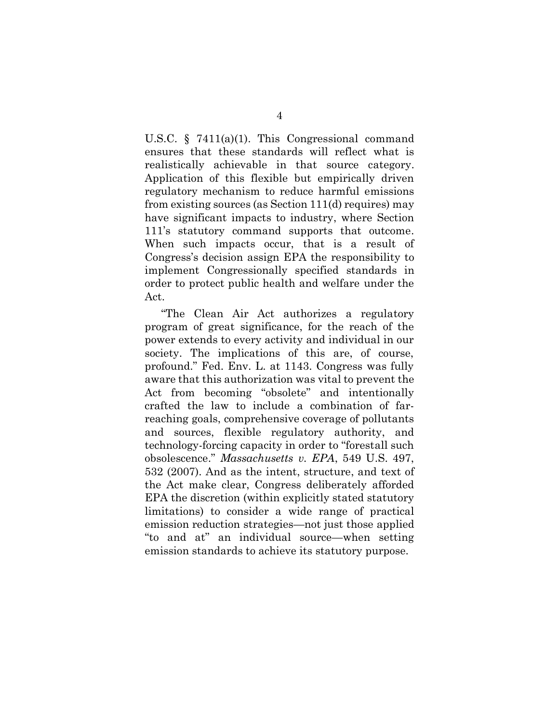U.S.C. § 7411(a)(1). This Congressional command ensures that these standards will reflect what is realistically achievable in that source category. Application of this flexible but empirically driven regulatory mechanism to reduce harmful emissions from existing sources (as Section 111(d) requires) may have significant impacts to industry, where Section 111's statutory command supports that outcome. When such impacts occur, that is a result of Congress's decision assign EPA the responsibility to implement Congressionally specified standards in order to protect public health and welfare under the Act.

"The Clean Air Act authorizes a regulatory program of great significance, for the reach of the power extends to every activity and individual in our society. The implications of this are, of course, profound." Fed. Env. L. at 1143. Congress was fully aware that this authorization was vital to prevent the Act from becoming "obsolete" and intentionally crafted the law to include a combination of farreaching goals, comprehensive coverage of pollutants and sources, flexible regulatory authority, and technology-forcing capacity in order to "forestall such obsolescence." *Massachusetts v. EPA*, 549 U.S. 497, 532 (2007). And as the intent, structure, and text of the Act make clear, Congress deliberately afforded EPA the discretion (within explicitly stated statutory limitations) to consider a wide range of practical emission reduction strategies—not just those applied "to and at" an individual source—when setting emission standards to achieve its statutory purpose.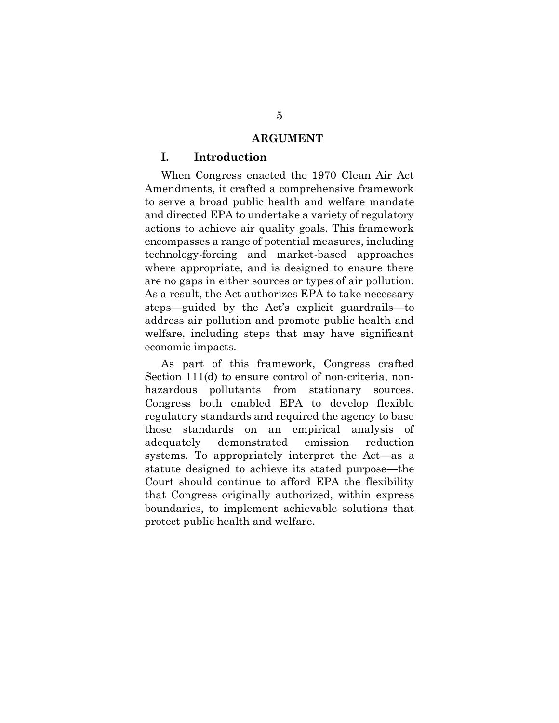#### **ARGUMENT**

#### <span id="page-9-1"></span><span id="page-9-0"></span>**I. Introduction**

When Congress enacted the 1970 Clean Air Act Amendments, it crafted a comprehensive framework to serve a broad public health and welfare mandate and directed EPA to undertake a variety of regulatory actions to achieve air quality goals. This framework encompasses a range of potential measures, including technology-forcing and market-based approaches where appropriate, and is designed to ensure there are no gaps in either sources or types of air pollution. As a result, the Act authorizes EPA to take necessary steps—guided by the Act's explicit guardrails—to address air pollution and promote public health and welfare, including steps that may have significant economic impacts.

As part of this framework, Congress crafted Section 111(d) to ensure control of non-criteria, nonhazardous pollutants from stationary sources. Congress both enabled EPA to develop flexible regulatory standards and required the agency to base those standards on an empirical analysis of adequately demonstrated emission reduction systems. To appropriately interpret the Act—as a statute designed to achieve its stated purpose—the Court should continue to afford EPA the flexibility that Congress originally authorized, within express boundaries, to implement achievable solutions that protect public health and welfare.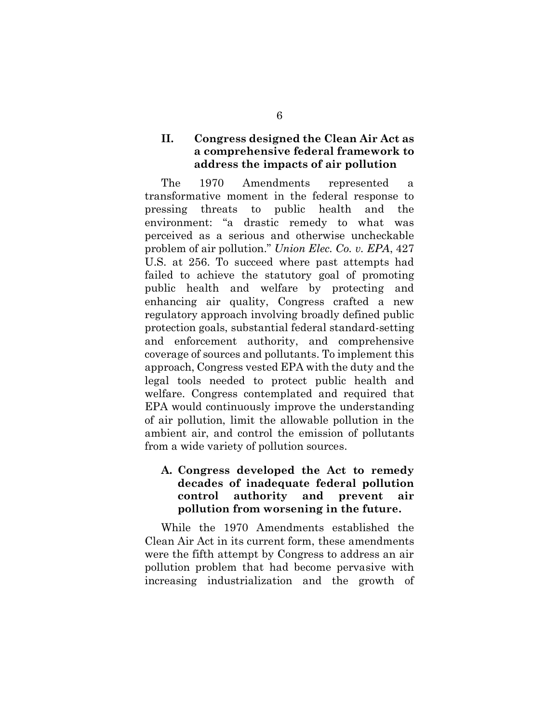### <span id="page-10-0"></span>**II. Congress designed the Clean Air Act as a comprehensive federal framework to address the impacts of air pollution**

The 1970 Amendments represented a transformative moment in the federal response to pressing threats to public health and the environment: "a drastic remedy to what was perceived as a serious and otherwise uncheckable problem of air pollution." *Union Elec. Co. v. EPA*, 427 U.S. at 256. To succeed where past attempts had failed to achieve the statutory goal of promoting public health and welfare by protecting and enhancing air quality, Congress crafted a new regulatory approach involving broadly defined public protection goals, substantial federal standard-setting and enforcement authority, and comprehensive coverage of sources and pollutants. To implement this approach, Congress vested EPA with the duty and the legal tools needed to protect public health and welfare. Congress contemplated and required that EPA would continuously improve the understanding of air pollution, limit the allowable pollution in the ambient air, and control the emission of pollutants from a wide variety of pollution sources.

### <span id="page-10-1"></span>**A. Congress developed the Act to remedy decades of inadequate federal pollution control authority and prevent air pollution from worsening in the future.**

While the 1970 Amendments established the Clean Air Act in its current form, these amendments were the fifth attempt by Congress to address an air pollution problem that had become pervasive with increasing industrialization and the growth of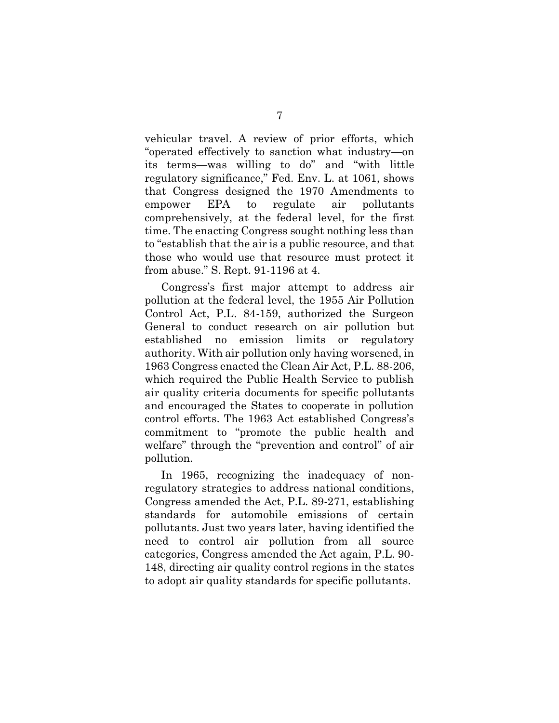vehicular travel. A review of prior efforts, which "operated effectively to sanction what industry—on its terms—was willing to do" and "with little regulatory significance," Fed. Env. L. at 1061, shows that Congress designed the 1970 Amendments to empower EPA to regulate air pollutants comprehensively, at the federal level, for the first time. The enacting Congress sought nothing less than to "establish that the air is a public resource, and that those who would use that resource must protect it from abuse." S. Rept. 91-1196 at 4.

Congress's first major attempt to address air pollution at the federal level, the 1955 Air Pollution Control Act, P.L. 84-159, authorized the Surgeon General to conduct research on air pollution but established no emission limits or regulatory authority. With air pollution only having worsened, in 1963 Congress enacted the Clean Air Act, P.L. 88-206, which required the Public Health Service to publish air quality criteria documents for specific pollutants and encouraged the States to cooperate in pollution control efforts. The 1963 Act established Congress's commitment to "promote the public health and welfare" through the "prevention and control" of air pollution.

In 1965, recognizing the inadequacy of nonregulatory strategies to address national conditions, Congress amended the Act, P.L. 89-271, establishing standards for automobile emissions of certain pollutants. Just two years later, having identified the need to control air pollution from all source categories, Congress amended the Act again, P.L. 90- 148, directing air quality control regions in the states to adopt air quality standards for specific pollutants.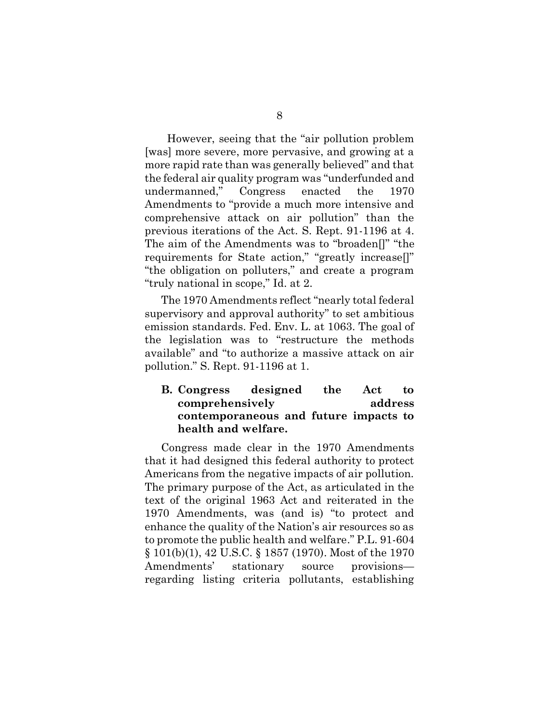However, seeing that the "air pollution problem [was] more severe, more pervasive, and growing at a more rapid rate than was generally believed" and that the federal air quality program was "underfunded and undermanned," Congress enacted the 1970 Amendments to "provide a much more intensive and comprehensive attack on air pollution" than the previous iterations of the Act. S. Rept. 91-1196 at 4. The aim of the Amendments was to "broaden[]" "the requirements for State action," "greatly increase[]" "the obligation on polluters," and create a program "truly national in scope," Id. at 2.

The 1970 Amendments reflect "nearly total federal supervisory and approval authority" to set ambitious emission standards. Fed. Env. L. at 1063. The goal of the legislation was to "restructure the methods available" and "to authorize a massive attack on air pollution." S. Rept. 91-1196 at 1.

### <span id="page-12-0"></span>**B. Congress designed the Act to comprehensively address contemporaneous and future impacts to health and welfare.**

Congress made clear in the 1970 Amendments that it had designed this federal authority to protect Americans from the negative impacts of air pollution. The primary purpose of the Act, as articulated in the text of the original 1963 Act and reiterated in the 1970 Amendments, was (and is) "to protect and enhance the quality of the Nation's air resources so as to promote the public health and welfare." P.L. 91-604 § 101(b)(1), 42 U.S.C. § 1857 (1970). Most of the 1970 Amendments' stationary source provisions regarding listing criteria pollutants, establishing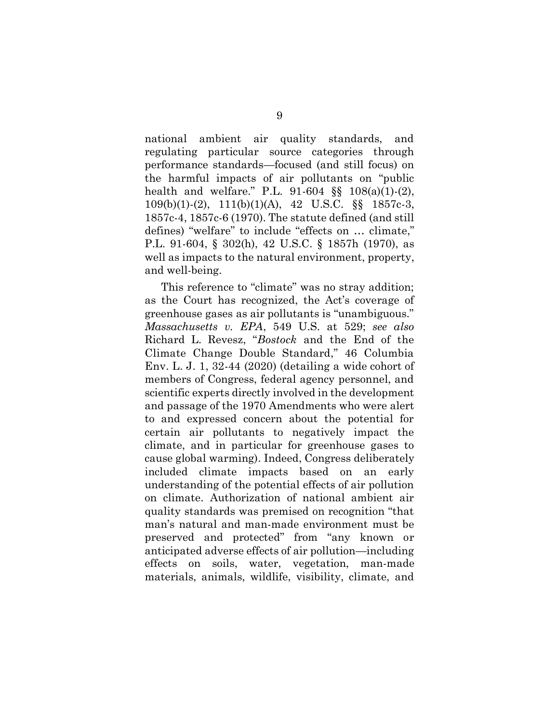national ambient air quality standards, and regulating particular source categories through performance standards—focused (and still focus) on the harmful impacts of air pollutants on "public health and welfare." P.L. 91-604 §§ 108(a)(1)-(2), 109(b)(1)-(2), 111(b)(1)(A), 42 U.S.C. §§ 1857c-3, 1857c-4, 1857c-6 (1970). The statute defined (and still defines) "welfare" to include "effects on … climate," P.L. 91-604, § 302(h), 42 U.S.C. § 1857h (1970), as well as impacts to the natural environment, property, and well-being.

This reference to "climate" was no stray addition; as the Court has recognized, the Act's coverage of greenhouse gases as air pollutants is "unambiguous." *Massachusetts v. EPA*, 549 U.S. at 529; *see also* Richard L. Revesz, "*Bostock* and the End of the Climate Change Double Standard," 46 Columbia Env. L. J. 1, 32-44 (2020) (detailing a wide cohort of members of Congress, federal agency personnel, and scientific experts directly involved in the development and passage of the 1970 Amendments who were alert to and expressed concern about the potential for certain air pollutants to negatively impact the climate, and in particular for greenhouse gases to cause global warming). Indeed, Congress deliberately included climate impacts based on an early understanding of the potential effects of air pollution on climate. Authorization of national ambient air quality standards was premised on recognition "that man's natural and man-made environment must be preserved and protected" from "any known or anticipated adverse effects of air pollution—including effects on soils, water, vegetation, man-made materials, animals, wildlife, visibility, climate, and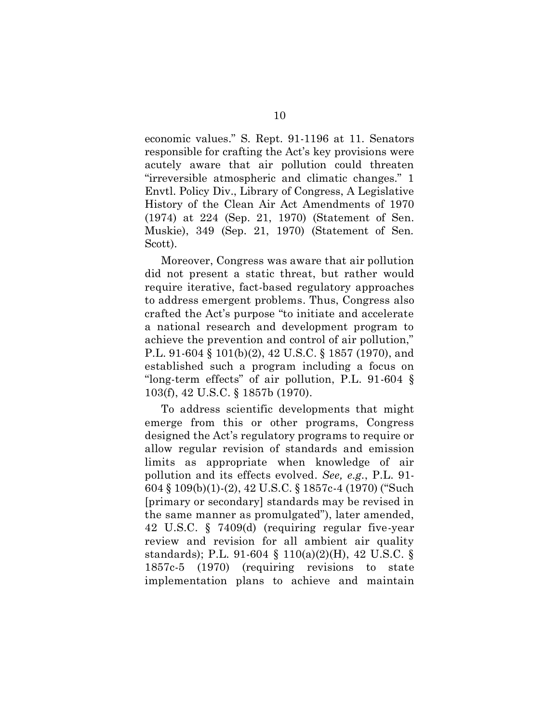economic values." S. Rept. 91-1196 at 11. Senators responsible for crafting the Act's key provisions were acutely aware that air pollution could threaten "irreversible atmospheric and climatic changes." 1 Envtl. Policy Div., Library of Congress, A Legislative History of the Clean Air Act Amendments of 1970 (1974) at 224 (Sep. 21, 1970) (Statement of Sen. Muskie), 349 (Sep. 21, 1970) (Statement of Sen. Scott).

Moreover, Congress was aware that air pollution did not present a static threat, but rather would require iterative, fact-based regulatory approaches to address emergent problems. Thus, Congress also crafted the Act's purpose "to initiate and accelerate a national research and development program to achieve the prevention and control of air pollution," P.L. 91-604 § 101(b)(2), 42 U.S.C. § 1857 (1970), and established such a program including a focus on "long-term effects" of air pollution, P.L. 91-604 § 103(f), 42 U.S.C. § 1857b (1970).

To address scientific developments that might emerge from this or other programs, Congress designed the Act's regulatory programs to require or allow regular revision of standards and emission limits as appropriate when knowledge of air pollution and its effects evolved. *See, e.g.*, P.L. 91- 604 § 109(b)(1)-(2), 42 U.S.C. § 1857c-4 (1970) ("Such [primary or secondary] standards may be revised in the same manner as promulgated"), later amended, 42 U.S.C. § 7409(d) (requiring regular five-year review and revision for all ambient air quality standards); P.L. 91-604 § 110(a)(2)(H), 42 U.S.C. § 1857c-5 (1970) (requiring revisions to state implementation plans to achieve and maintain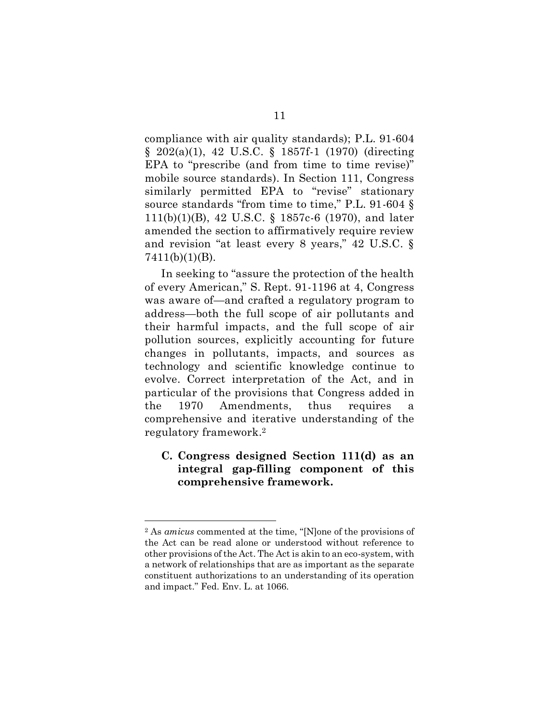compliance with air quality standards); P.L. 91-604 § 202(a)(1), 42 U.S.C. § 1857f-1 (1970) (directing EPA to "prescribe (and from time to time revise)" mobile source standards). In Section 111, Congress similarly permitted EPA to "revise" stationary source standards "from time to time," P.L. 91-604 § 111(b)(1)(B), 42 U.S.C. § 1857c-6 (1970), and later amended the section to affirmatively require review and revision "at least every 8 years," 42 U.S.C. § 7411(b)(1)(B).

In seeking to "assure the protection of the health of every American," S. Rept. 91-1196 at 4, Congress was aware of—and crafted a regulatory program to address—both the full scope of air pollutants and their harmful impacts, and the full scope of air pollution sources, explicitly accounting for future changes in pollutants, impacts, and sources as technology and scientific knowledge continue to evolve. Correct interpretation of the Act, and in particular of the provisions that Congress added in the 1970 Amendments, thus requires a comprehensive and iterative understanding of the regulatory framework. 2

### <span id="page-15-0"></span>**C. Congress designed Section 111(d) as an integral gap-filling component of this comprehensive framework.**

<sup>2</sup> As *amicus* commented at the time, "[N]one of the provisions of the Act can be read alone or understood without reference to other provisions of the Act. The Act is akin to an eco-system, with a network of relationships that are as important as the separate constituent authorizations to an understanding of its operation and impact." Fed. Env. L. at 1066.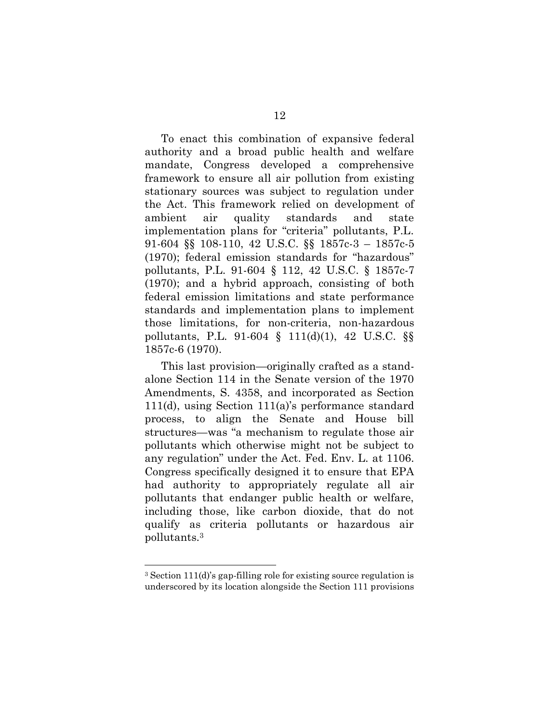To enact this combination of expansive federal authority and a broad public health and welfare mandate, Congress developed a comprehensive framework to ensure all air pollution from existing stationary sources was subject to regulation under the Act. This framework relied on development of ambient air quality standards and state implementation plans for "criteria" pollutants, P.L. 91-604 §§ 108-110, 42 U.S.C. §§ 1857c-3 – 1857c-5 (1970); federal emission standards for "hazardous" pollutants, P.L. 91-604 § 112, 42 U.S.C. § 1857c-7 (1970); and a hybrid approach, consisting of both federal emission limitations and state performance standards and implementation plans to implement those limitations, for non-criteria, non-hazardous pollutants, P.L. 91-604 § 111(d)(1), 42 U.S.C. §§ 1857c-6 (1970).

This last provision—originally crafted as a standalone Section 114 in the Senate version of the 1970 Amendments, S. 4358, and incorporated as Section 111(d), using Section 111(a)'s performance standard process, to align the Senate and House bill structures—was "a mechanism to regulate those air pollutants which otherwise might not be subject to any regulation" under the Act. Fed. Env. L. at 1106. Congress specifically designed it to ensure that EPA had authority to appropriately regulate all air pollutants that endanger public health or welfare, including those, like carbon dioxide, that do not qualify as criteria pollutants or hazardous air pollutants.<sup>3</sup>

<sup>3</sup> Section 111(d)'s gap-filling role for existing source regulation is underscored by its location alongside the Section 111 provisions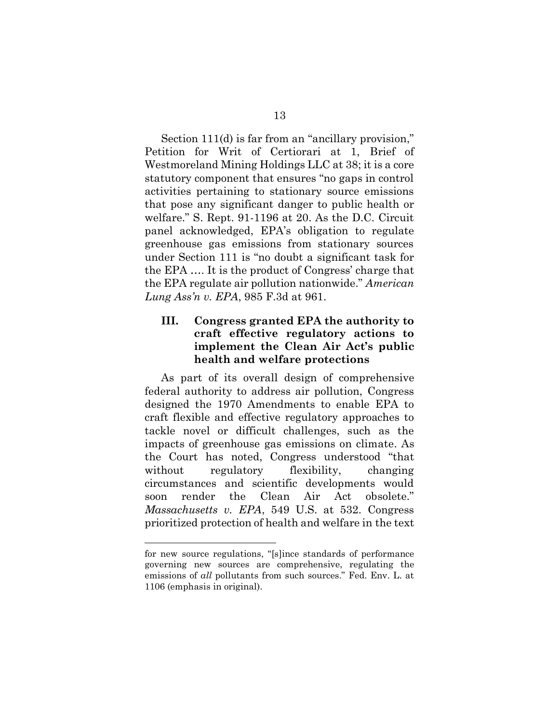Section 111(d) is far from an "ancillary provision," Petition for Writ of Certiorari at 1, Brief of Westmoreland Mining Holdings LLC at 38; it is a core statutory component that ensures "no gaps in control activities pertaining to stationary source emissions that pose any significant danger to public health or welfare." S. Rept. 91-1196 at 20. As the D.C. Circuit panel acknowledged, EPA's obligation to regulate greenhouse gas emissions from stationary sources under Section 111 is "no doubt a significant task for the EPA …. It is the product of Congress' charge that the EPA regulate air pollution nationwide." *American Lung Ass'n v. EPA*, 985 F.3d at 961.

### <span id="page-17-0"></span>**III. Congress granted EPA the authority to craft effective regulatory actions to implement the Clean Air Act's public health and welfare protections**

As part of its overall design of comprehensive federal authority to address air pollution, Congress designed the 1970 Amendments to enable EPA to craft flexible and effective regulatory approaches to tackle novel or difficult challenges, such as the impacts of greenhouse gas emissions on climate. As the Court has noted, Congress understood "that without regulatory flexibility, changing circumstances and scientific developments would soon render the Clean Air Act obsolete." *Massachusetts v. EPA*, 549 U.S. at 532. Congress prioritized protection of health and welfare in the text

for new source regulations, "[s]ince standards of performance governing new sources are comprehensive, regulating the emissions of *all* pollutants from such sources." Fed. Env. L. at 1106 (emphasis in original).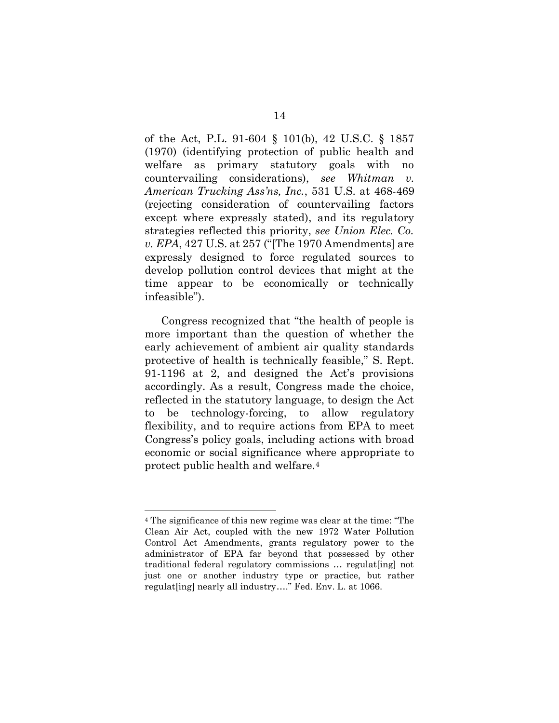of the Act, P.L. 91-604 § 101(b), 42 U.S.C. § 1857 (1970) (identifying protection of public health and welfare as primary statutory goals with no countervailing considerations), *see Whitman v. American Trucking Ass'ns, Inc.*, 531 U.S. at 468-469 (rejecting consideration of countervailing factors except where expressly stated), and its regulatory strategies reflected this priority, *see Union Elec. Co. v. EPA*, 427 U.S. at 257 ("[The 1970 Amendments] are expressly designed to force regulated sources to develop pollution control devices that might at the time appear to be economically or technically infeasible").

Congress recognized that "the health of people is more important than the question of whether the early achievement of ambient air quality standards protective of health is technically feasible," S. Rept. 91-1196 at 2, and designed the Act's provisions accordingly. As a result, Congress made the choice, reflected in the statutory language, to design the Act to be technology-forcing, to allow regulatory flexibility, and to require actions from EPA to meet Congress's policy goals, including actions with broad economic or social significance where appropriate to protect public health and welfare.<sup>4</sup>

<sup>4</sup> The significance of this new regime was clear at the time: "The Clean Air Act, coupled with the new 1972 Water Pollution Control Act Amendments, grants regulatory power to the administrator of EPA far beyond that possessed by other traditional federal regulatory commissions … regulat[ing] not just one or another industry type or practice, but rather regulat [ing] nearly all industry...." Fed. Env. L. at 1066.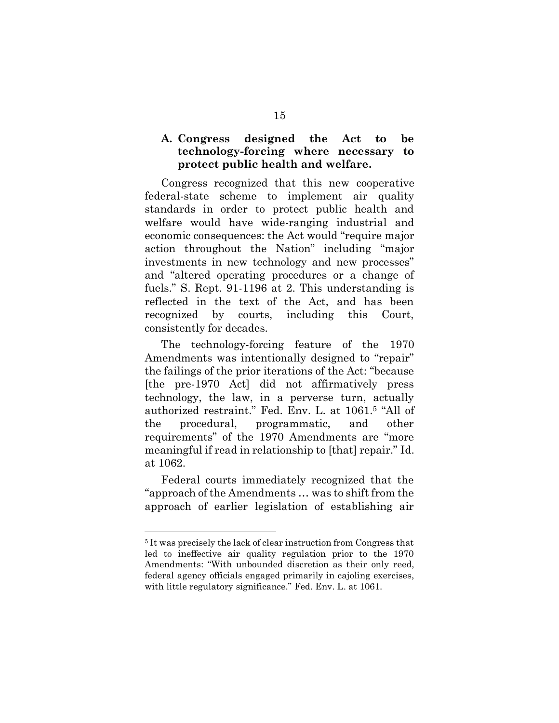### <span id="page-19-0"></span>**A. Congress designed the Act to be technology-forcing where necessary to protect public health and welfare.**

Congress recognized that this new cooperative federal-state scheme to implement air quality standards in order to protect public health and welfare would have wide-ranging industrial and economic consequences: the Act would "require major action throughout the Nation" including "major investments in new technology and new processes" and "altered operating procedures or a change of fuels." S. Rept. 91-1196 at 2. This understanding is reflected in the text of the Act, and has been recognized by courts, including this Court, consistently for decades.

The technology-forcing feature of the 1970 Amendments was intentionally designed to "repair" the failings of the prior iterations of the Act: "because [the pre-1970 Act] did not affirmatively press technology, the law, in a perverse turn, actually authorized restraint." Fed. Env. L. at 1061.<sup>5</sup> "All of the procedural, programmatic, and other requirements" of the 1970 Amendments are "more meaningful if read in relationship to [that] repair." Id. at 1062.

Federal courts immediately recognized that the "approach of the Amendments … was to shift from the approach of earlier legislation of establishing air

<sup>5</sup> It was precisely the lack of clear instruction from Congress that led to ineffective air quality regulation prior to the 1970 Amendments: "With unbounded discretion as their only reed, federal agency officials engaged primarily in cajoling exercises, with little regulatory significance." Fed. Env. L. at 1061.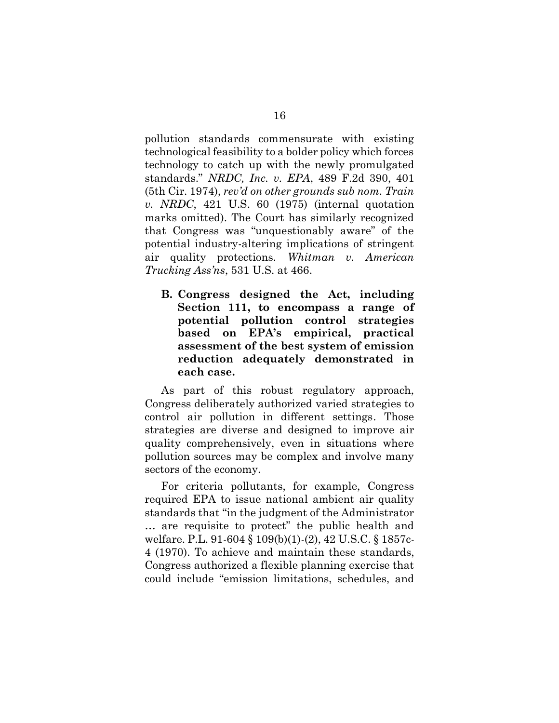pollution standards commensurate with existing technological feasibility to a bolder policy which forces technology to catch up with the newly promulgated standards." *NRDC, Inc. v. EPA*, 489 F.2d 390, 401 (5th Cir. 1974), *rev'd on other grounds sub nom. Train v. NRDC*, 421 U.S. 60 (1975) (internal quotation marks omitted). The Court has similarly recognized that Congress was "unquestionably aware" of the potential industry-altering implications of stringent air quality protections. *Whitman v. American Trucking Ass'ns*, 531 U.S. at 466.

<span id="page-20-0"></span>**B. Congress designed the Act, including Section 111, to encompass a range of potential pollution control strategies based on EPA's empirical, practical assessment of the best system of emission reduction adequately demonstrated in each case.**

As part of this robust regulatory approach, Congress deliberately authorized varied strategies to control air pollution in different settings. Those strategies are diverse and designed to improve air quality comprehensively, even in situations where pollution sources may be complex and involve many sectors of the economy.

For criteria pollutants, for example, Congress required EPA to issue national ambient air quality standards that "in the judgment of the Administrator … are requisite to protect" the public health and welfare. P.L. 91-604 § 109(b)(1)-(2), 42 U.S.C. § 1857c-4 (1970). To achieve and maintain these standards, Congress authorized a flexible planning exercise that could include "emission limitations, schedules, and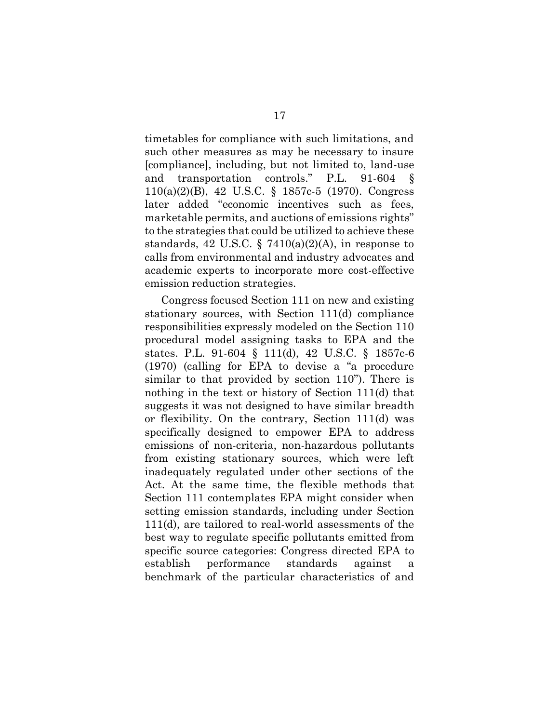timetables for compliance with such limitations, and such other measures as may be necessary to insure [compliance], including, but not limited to, land-use and transportation controls." P.L. 91-604 110(a)(2)(B), 42 U.S.C. § 1857c-5 (1970). Congress later added "economic incentives such as fees, marketable permits, and auctions of emissions rights" to the strategies that could be utilized to achieve these standards, 42 U.S.C. § 7410(a)(2)(A), in response to calls from environmental and industry advocates and academic experts to incorporate more cost-effective emission reduction strategies.

Congress focused Section 111 on new and existing stationary sources, with Section 111(d) compliance responsibilities expressly modeled on the Section 110 procedural model assigning tasks to EPA and the states. P.L. 91-604 § 111(d), 42 U.S.C. § 1857c-6 (1970) (calling for EPA to devise a "a procedure similar to that provided by section 110"). There is nothing in the text or history of Section 111(d) that suggests it was not designed to have similar breadth or flexibility. On the contrary, Section 111(d) was specifically designed to empower EPA to address emissions of non-criteria, non-hazardous pollutants from existing stationary sources, which were left inadequately regulated under other sections of the Act. At the same time, the flexible methods that Section 111 contemplates EPA might consider when setting emission standards, including under Section 111(d), are tailored to real-world assessments of the best way to regulate specific pollutants emitted from specific source categories: Congress directed EPA to establish performance standards against a benchmark of the particular characteristics of and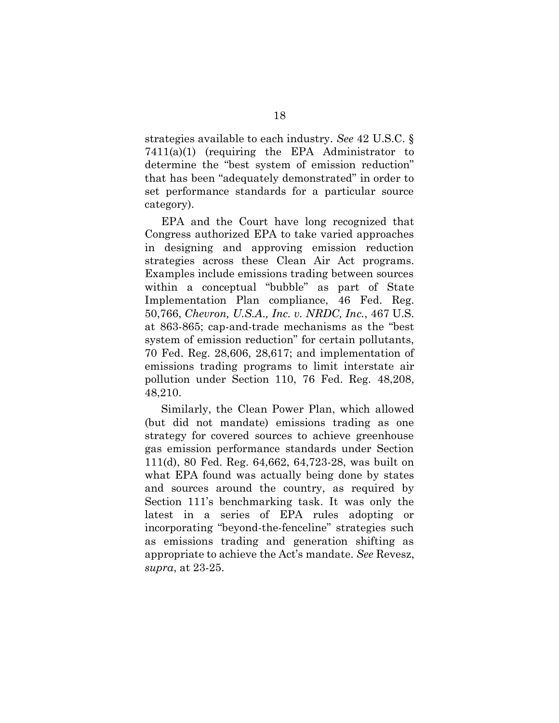strategies available to each industry. *See* 42 U.S.C. § 7411(a)(1) (requiring the EPA Administrator to determine the "best system of emission reduction" that has been "adequately demonstrated" in order to set performance standards for a particular source category).

EPA and the Court have long recognized that Congress authorized EPA to take varied approaches in designing and approving emission reduction strategies across these Clean Air Act programs. Examples include emissions trading between sources within a conceptual "bubble" as part of State Implementation Plan compliance, 46 Fed. Reg. 50,766, *Chevron, U.S.A., Inc. v. NRDC, Inc.*, 467 U.S. at 863-865; cap-and-trade mechanisms as the "best system of emission reduction" for certain pollutants, 70 Fed. Reg. 28,606, 28,617; and implementation of emissions trading programs to limit interstate air pollution under Section 110, 76 Fed. Reg. 48,208, 48,210.

Similarly, the Clean Power Plan, which allowed (but did not mandate) emissions trading as one strategy for covered sources to achieve greenhouse gas emission performance standards under Section 111(d), 80 Fed. Reg. 64,662, 64,723-28, was built on what EPA found was actually being done by states and sources around the country, as required by Section 111's benchmarking task. It was only the latest in a series of EPA rules adopting or incorporating "beyond-the-fenceline" strategies such as emissions trading and generation shifting as appropriate to achieve the Act's mandate. *See* Revesz, *supra*, at 23-25.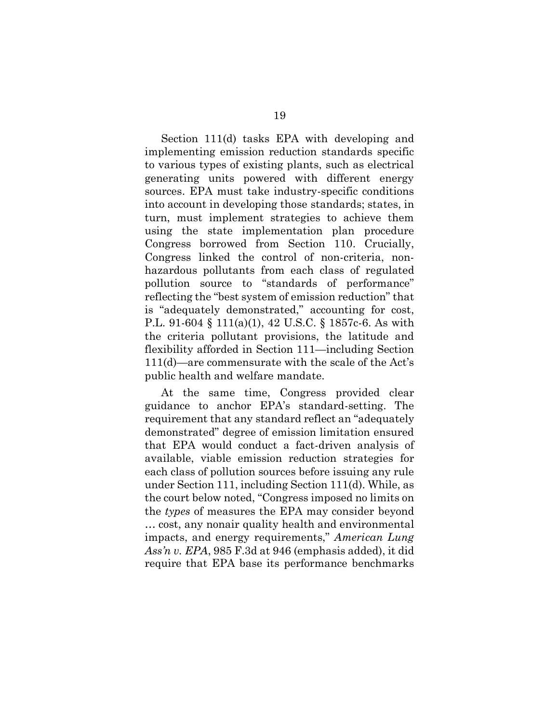Section 111(d) tasks EPA with developing and implementing emission reduction standards specific to various types of existing plants, such as electrical generating units powered with different energy sources. EPA must take industry-specific conditions into account in developing those standards; states, in turn, must implement strategies to achieve them using the state implementation plan procedure Congress borrowed from Section 110. Crucially, Congress linked the control of non-criteria, nonhazardous pollutants from each class of regulated pollution source to "standards of performance" reflecting the "best system of emission reduction" that is "adequately demonstrated," accounting for cost, P.L. 91-604 § 111(a)(1), 42 U.S.C. § 1857c-6. As with the criteria pollutant provisions, the latitude and flexibility afforded in Section 111—including Section 111(d)—are commensurate with the scale of the Act's public health and welfare mandate.

At the same time, Congress provided clear guidance to anchor EPA's standard-setting. The requirement that any standard reflect an "adequately demonstrated" degree of emission limitation ensured that EPA would conduct a fact-driven analysis of available, viable emission reduction strategies for each class of pollution sources before issuing any rule under Section 111, including Section 111(d). While, as the court below noted, "Congress imposed no limits on the *types* of measures the EPA may consider beyond … cost, any nonair quality health and environmental impacts, and energy requirements," *American Lung Ass'n v. EPA*, 985 F.3d at 946 (emphasis added), it did require that EPA base its performance benchmarks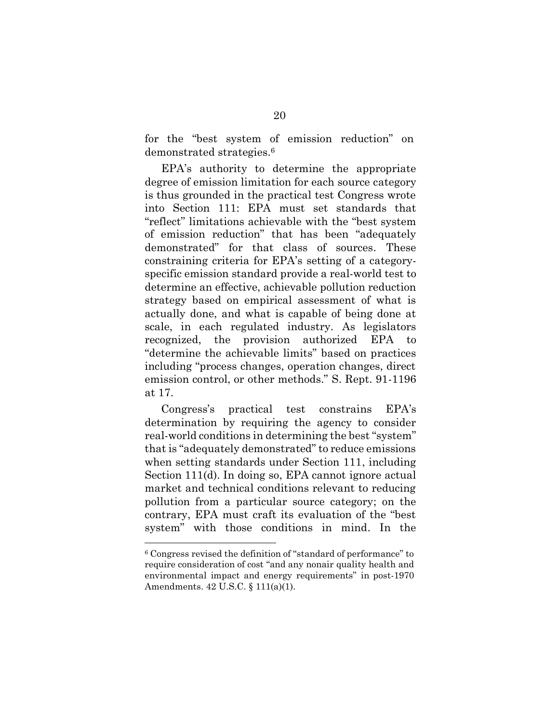for the "best system of emission reduction" on demonstrated strategies. 6

EPA's authority to determine the appropriate degree of emission limitation for each source category is thus grounded in the practical test Congress wrote into Section 111: EPA must set standards that "reflect" limitations achievable with the "best system of emission reduction" that has been "adequately demonstrated" for that class of sources. These constraining criteria for EPA's setting of a categoryspecific emission standard provide a real-world test to determine an effective, achievable pollution reduction strategy based on empirical assessment of what is actually done, and what is capable of being done at scale, in each regulated industry. As legislators recognized, the provision authorized EPA to "determine the achievable limits" based on practices including "process changes, operation changes, direct emission control, or other methods." S. Rept. 91-1196 at 17.

Congress's practical test constrains EPA's determination by requiring the agency to consider real-world conditions in determining the best "system" that is "adequately demonstrated" to reduce emissions when setting standards under Section 111, including Section 111(d). In doing so, EPA cannot ignore actual market and technical conditions relevant to reducing pollution from a particular source category; on the contrary, EPA must craft its evaluation of the "best system" with those conditions in mind. In the

<sup>6</sup> Congress revised the definition of "standard of performance" to require consideration of cost "and any nonair quality health and environmental impact and energy requirements" in post-1970 Amendments. 42 U.S.C. § 111(a)(1).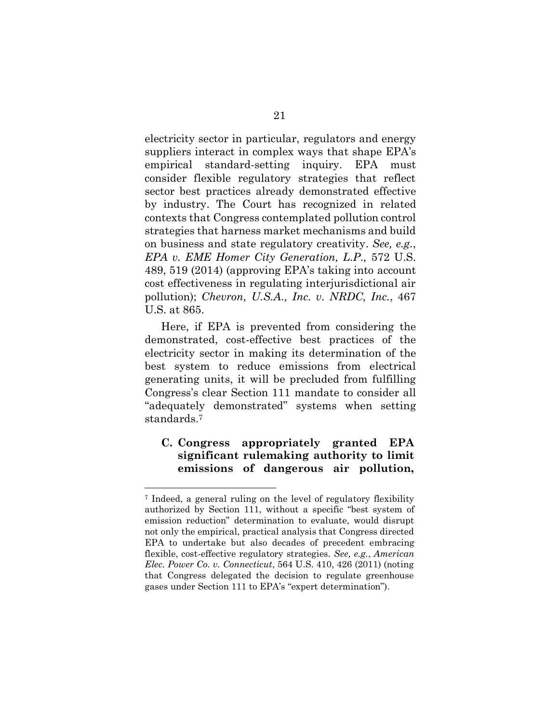electricity sector in particular, regulators and energy suppliers interact in complex ways that shape EPA's empirical standard-setting inquiry. EPA must consider flexible regulatory strategies that reflect sector best practices already demonstrated effective by industry. The Court has recognized in related contexts that Congress contemplated pollution control strategies that harness market mechanisms and build on business and state regulatory creativity. *See, e.g.*, *EPA v. EME Homer City Generation, L.P.,* 572 U.S. 489, 519 (2014) (approving EPA's taking into account cost effectiveness in regulating interjurisdictional air pollution); *Chevron, U.S.A., Inc. v. NRDC, Inc.*, 467 U.S. at 865.

Here, if EPA is prevented from considering the demonstrated, cost-effective best practices of the electricity sector in making its determination of the best system to reduce emissions from electrical generating units, it will be precluded from fulfilling Congress's clear Section 111 mandate to consider all "adequately demonstrated" systems when setting standards. 7

### <span id="page-25-0"></span>**C. Congress appropriately granted EPA significant rulemaking authority to limit emissions of dangerous air pollution,**

<sup>7</sup> Indeed, a general ruling on the level of regulatory flexibility authorized by Section 111, without a specific "best system of emission reduction" determination to evaluate, would disrupt not only the empirical, practical analysis that Congress directed EPA to undertake but also decades of precedent embracing flexible, cost-effective regulatory strategies. *See, e.g.*, *American Elec. Power Co. v. Connecticut*, 564 U.S. 410, 426 (2011) (noting that Congress delegated the decision to regulate greenhouse gases under Section 111 to EPA's "expert determination").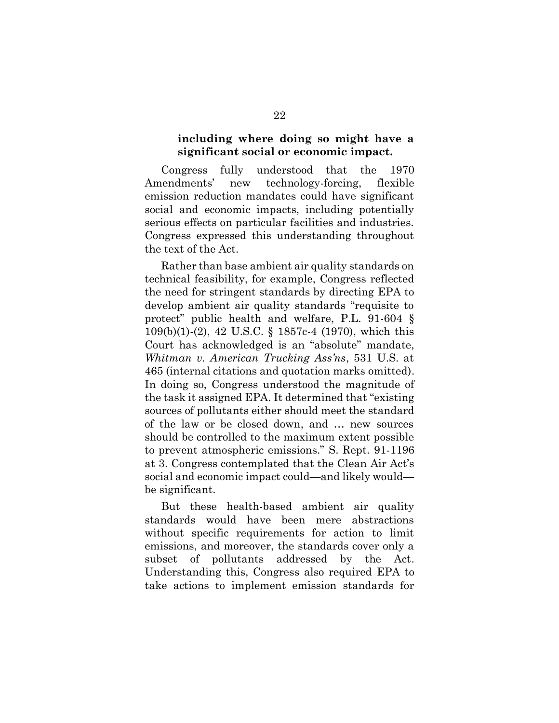#### **including where doing so might have a significant social or economic impact.**

Congress fully understood that the 1970 Amendments' new technology-forcing, flexible emission reduction mandates could have significant social and economic impacts, including potentially serious effects on particular facilities and industries. Congress expressed this understanding throughout the text of the Act.

Rather than base ambient air quality standards on technical feasibility, for example, Congress reflected the need for stringent standards by directing EPA to develop ambient air quality standards "requisite to protect" public health and welfare, P.L. 91-604 § 109(b)(1)-(2), 42 U.S.C. § 1857c-4 (1970), which this Court has acknowledged is an "absolute" mandate, *Whitman v. American Trucking Ass'ns*, 531 U.S. at 465 (internal citations and quotation marks omitted). In doing so, Congress understood the magnitude of the task it assigned EPA. It determined that "existing sources of pollutants either should meet the standard of the law or be closed down, and … new sources should be controlled to the maximum extent possible to prevent atmospheric emissions." S. Rept. 91-1196 at 3. Congress contemplated that the Clean Air Act's social and economic impact could—and likely would be significant.

But these health-based ambient air quality standards would have been mere abstractions without specific requirements for action to limit emissions, and moreover, the standards cover only a subset of pollutants addressed by the Act. Understanding this, Congress also required EPA to take actions to implement emission standards for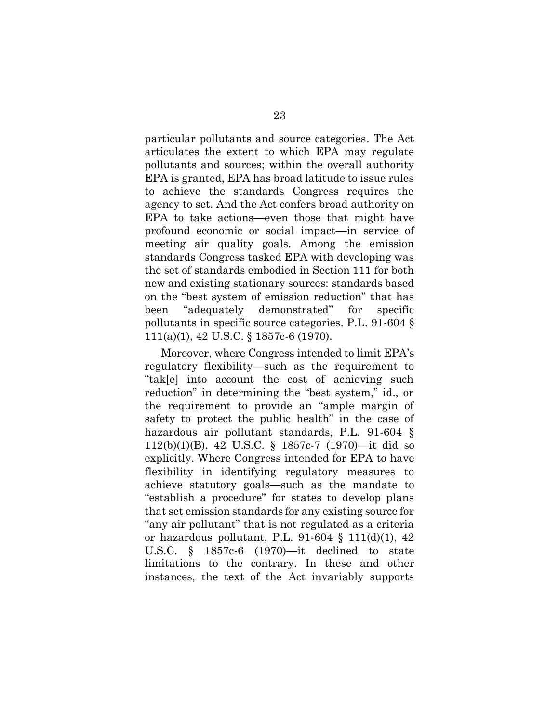particular pollutants and source categories. The Act articulates the extent to which EPA may regulate pollutants and sources; within the overall authority EPA is granted, EPA has broad latitude to issue rules to achieve the standards Congress requires the agency to set. And the Act confers broad authority on EPA to take actions—even those that might have profound economic or social impact—in service of meeting air quality goals. Among the emission standards Congress tasked EPA with developing was the set of standards embodied in Section 111 for both new and existing stationary sources: standards based on the "best system of emission reduction" that has been "adequately demonstrated" for specific pollutants in specific source categories. P.L. 91-604 § 111(a)(1), 42 U.S.C. § 1857c-6 (1970).

Moreover, where Congress intended to limit EPA's regulatory flexibility—such as the requirement to "tak[e] into account the cost of achieving such reduction" in determining the "best system," id., or the requirement to provide an "ample margin of safety to protect the public health" in the case of hazardous air pollutant standards, P.L. 91-604 § 112(b)(1)(B), 42 U.S.C. § 1857c-7 (1970)—it did so explicitly. Where Congress intended for EPA to have flexibility in identifying regulatory measures to achieve statutory goals—such as the mandate to "establish a procedure" for states to develop plans that set emission standards for any existing source for "any air pollutant" that is not regulated as a criteria or hazardous pollutant, P.L. 91-604 § 111(d)(1), 42 U.S.C. § 1857c-6 (1970)—it declined to state limitations to the contrary. In these and other instances, the text of the Act invariably supports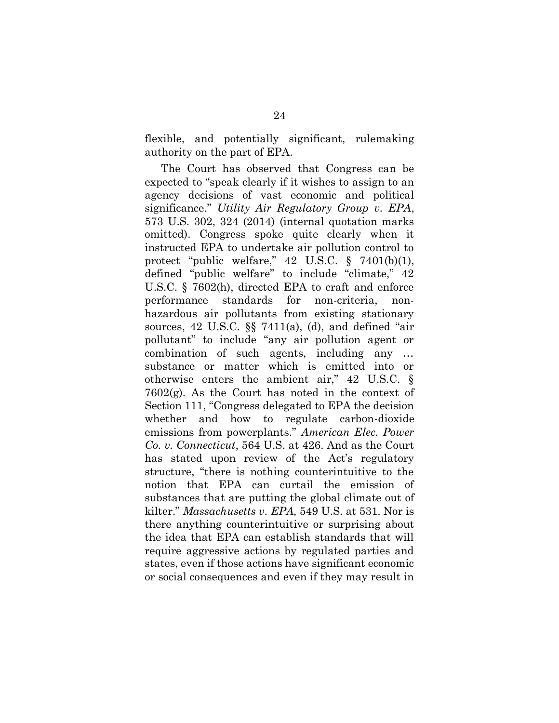flexible, and potentially significant, rulemaking authority on the part of EPA.

The Court has observed that Congress can be expected to "speak clearly if it wishes to assign to an agency decisions of vast economic and political significance." *Utility Air Regulatory Group v. EPA*, 573 U.S. 302, 324 (2014) (internal quotation marks omitted). Congress spoke quite clearly when it instructed EPA to undertake air pollution control to protect "public welfare,"  $42 \text{ U.S.C. }$  §  $7401(b)(1)$ , defined "public welfare" to include "climate," 42 U.S.C. § 7602(h), directed EPA to craft and enforce performance standards for non-criteria, nonhazardous air pollutants from existing stationary sources,  $42 \text{ U.S.C. }$   $\S \ \frac{57411}{a}$ , (d), and defined "air pollutant" to include "any air pollution agent or combination of such agents, including any … substance or matter which is emitted into or otherwise enters the ambient air," 42 U.S.C. § 7602(g). As the Court has noted in the context of Section 111, "Congress delegated to EPA the decision whether and how to regulate carbon-dioxide emissions from powerplants." *American Elec. Power Co. v. Connecticut*, 564 U.S. at 426. And as the Court has stated upon review of the Act's regulatory structure, "there is nothing counterintuitive to the notion that EPA can curtail the emission of substances that are putting the global climate out of kilter." *Massachusetts v. EPA,* 549 U.S. at 531. Nor is there anything counterintuitive or surprising about the idea that EPA can establish standards that will require aggressive actions by regulated parties and states, even if those actions have significant economic or social consequences and even if they may result in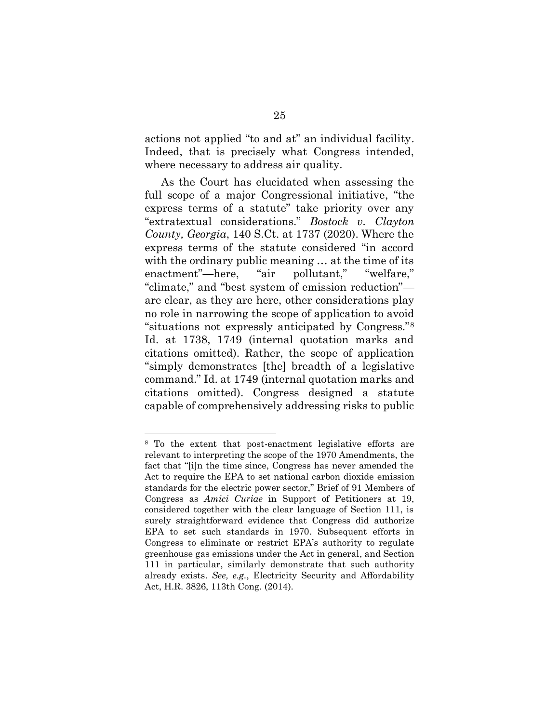actions not applied "to and at" an individual facility. Indeed, that is precisely what Congress intended, where necessary to address air quality.

As the Court has elucidated when assessing the full scope of a major Congressional initiative, "the express terms of a statute" take priority over any "extratextual considerations." *Bostock v. Clayton County, Georgia*, 140 S.Ct. at 1737 (2020). Where the express terms of the statute considered "in accord with the ordinary public meaning … at the time of its enactment"—here, "air pollutant," "welfare," "climate," and "best system of emission reduction" are clear, as they are here, other considerations play no role in narrowing the scope of application to avoid "situations not expressly anticipated by Congress."<sup>8</sup> Id. at 1738, 1749 (internal quotation marks and citations omitted). Rather, the scope of application "simply demonstrates [the] breadth of a legislative command." Id. at 1749 (internal quotation marks and citations omitted). Congress designed a statute capable of comprehensively addressing risks to public

<sup>8</sup> To the extent that post-enactment legislative efforts are relevant to interpreting the scope of the 1970 Amendments, the fact that "[i]n the time since, Congress has never amended the Act to require the EPA to set national carbon dioxide emission standards for the electric power sector," Brief of 91 Members of Congress as *Amici Curiae* in Support of Petitioners at 19, considered together with the clear language of Section 111, is surely straightforward evidence that Congress did authorize EPA to set such standards in 1970. Subsequent efforts in Congress to eliminate or restrict EPA's authority to regulate greenhouse gas emissions under the Act in general, and Section 111 in particular, similarly demonstrate that such authority already exists. *See, e.g.*, Electricity Security and Affordability Act, H.R. 3826, 113th Cong. (2014).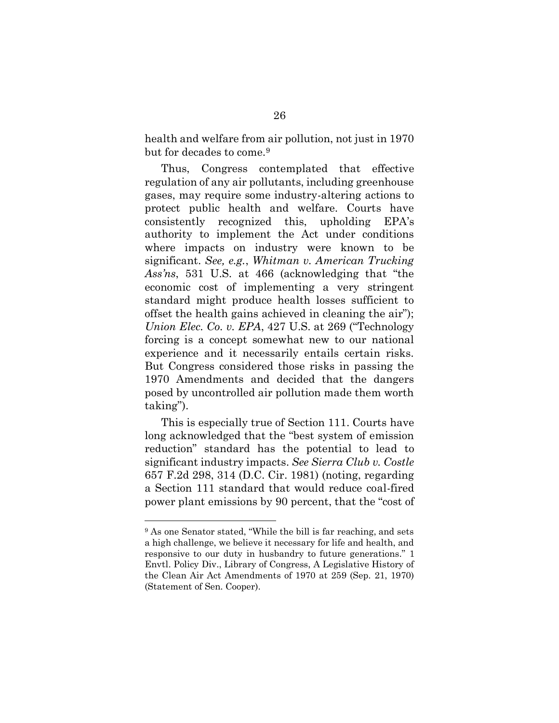health and welfare from air pollution, not just in 1970 but for decades to come.<sup>9</sup>

Thus, Congress contemplated that effective regulation of any air pollutants, including greenhouse gases, may require some industry-altering actions to protect public health and welfare. Courts have consistently recognized this, upholding EPA's authority to implement the Act under conditions where impacts on industry were known to be significant. *See, e.g.*, *Whitman v. American Trucking Ass'ns*, 531 U.S. at 466 (acknowledging that "the economic cost of implementing a very stringent standard might produce health losses sufficient to offset the health gains achieved in cleaning the air"); *Union Elec. Co. v. EPA*, 427 U.S. at 269 ("Technology forcing is a concept somewhat new to our national experience and it necessarily entails certain risks. But Congress considered those risks in passing the 1970 Amendments and decided that the dangers posed by uncontrolled air pollution made them worth taking").

This is especially true of Section 111. Courts have long acknowledged that the "best system of emission reduction" standard has the potential to lead to significant industry impacts. *See Sierra Club v. Costle* 657 F.2d 298, 314 (D.C. Cir. 1981) (noting, regarding a Section 111 standard that would reduce coal-fired power plant emissions by 90 percent, that the "cost of

<sup>9</sup> As one Senator stated, "While the bill is far reaching, and sets a high challenge, we believe it necessary for life and health, and responsive to our duty in husbandry to future generations." 1 Envtl. Policy Div., Library of Congress, A Legislative History of the Clean Air Act Amendments of 1970 at 259 (Sep. 21, 1970) (Statement of Sen. Cooper).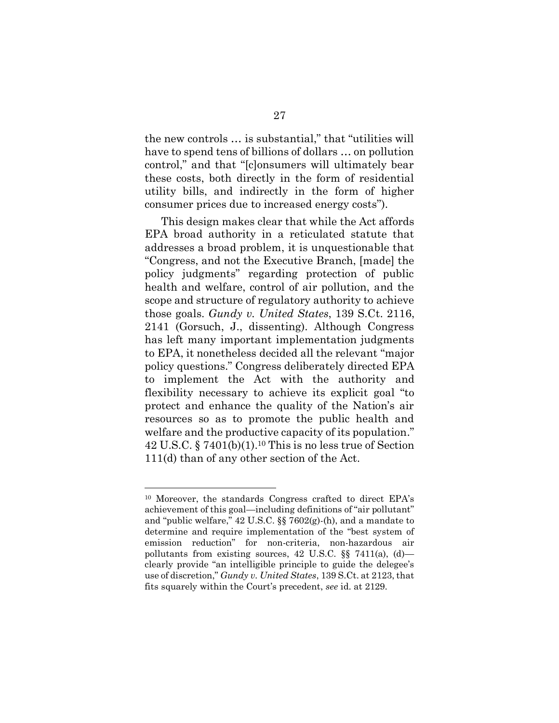the new controls … is substantial," that "utilities will have to spend tens of billions of dollars … on pollution control," and that "[c]onsumers will ultimately bear these costs, both directly in the form of residential utility bills, and indirectly in the form of higher consumer prices due to increased energy costs").

This design makes clear that while the Act affords EPA broad authority in a reticulated statute that addresses a broad problem, it is unquestionable that "Congress, and not the Executive Branch, [made] the policy judgments" regarding protection of public health and welfare, control of air pollution, and the scope and structure of regulatory authority to achieve those goals. *Gundy v. United States*, 139 S.Ct. 2116, 2141 (Gorsuch, J., dissenting). Although Congress has left many important implementation judgments to EPA, it nonetheless decided all the relevant "major policy questions." Congress deliberately directed EPA to implement the Act with the authority and flexibility necessary to achieve its explicit goal "to protect and enhance the quality of the Nation's air resources so as to promote the public health and welfare and the productive capacity of its population." 42 U.S.C. § 7401(b)(1). <sup>10</sup> This is no less true of Section 111(d) than of any other section of the Act.

<sup>10</sup> Moreover, the standards Congress crafted to direct EPA's achievement of this goal—including definitions of "air pollutant" and "public welfare," 42 U.S.C. §§ 7602(g)-(h), and a mandate to determine and require implementation of the "best system of emission reduction" for non-criteria, non-hazardous air pollutants from existing sources, 42 U.S.C.  $\S$  7411(a), (d) clearly provide "an intelligible principle to guide the delegee's use of discretion," *Gundy v. United States*, 139 S.Ct. at 2123, that fits squarely within the Court's precedent, *see* id. at 2129.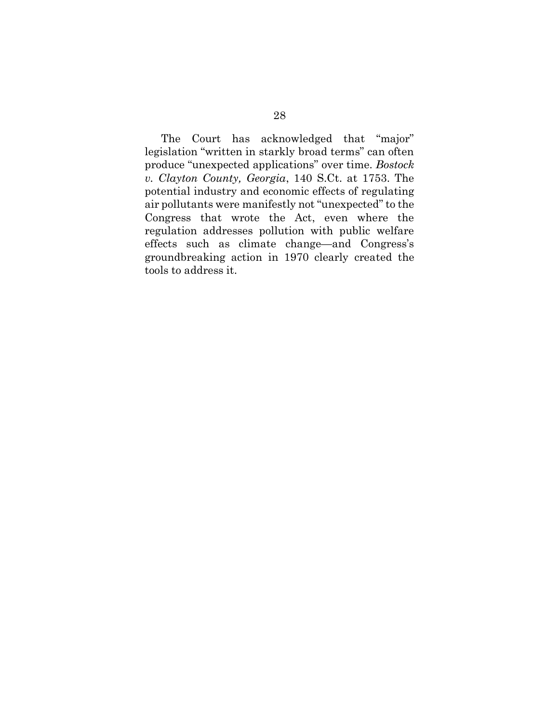The Court has acknowledged that "major" legislation "written in starkly broad terms" can often produce "unexpected applications" over time. *Bostock v. Clayton County, Georgia*, 140 S.Ct. at 1753. The potential industry and economic effects of regulating air pollutants were manifestly not "unexpected" to the Congress that wrote the Act, even where the regulation addresses pollution with public welfare effects such as climate change—and Congress's groundbreaking action in 1970 clearly created the tools to address it.